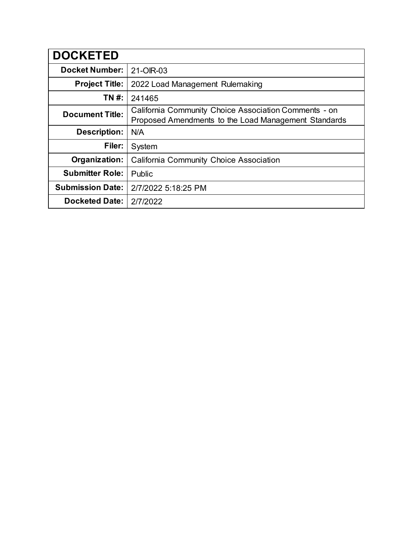| <b>DOCKETED</b>         |                                                                                                               |
|-------------------------|---------------------------------------------------------------------------------------------------------------|
| <b>Docket Number:</b>   | 21-OIR-03                                                                                                     |
| <b>Project Title:</b>   | 2022 Load Management Rulemaking                                                                               |
| TN #:                   | 241465                                                                                                        |
| <b>Document Title:</b>  | California Community Choice Association Comments - on<br>Proposed Amendments to the Load Management Standards |
| <b>Description:</b>     | N/A                                                                                                           |
| Filer:                  | System                                                                                                        |
| Organization:           | <b>California Community Choice Association</b>                                                                |
| <b>Submitter Role:</b>  | Public                                                                                                        |
| <b>Submission Date:</b> | 2/7/2022 5:18:25 PM                                                                                           |
| <b>Docketed Date:</b>   | 2/7/2022                                                                                                      |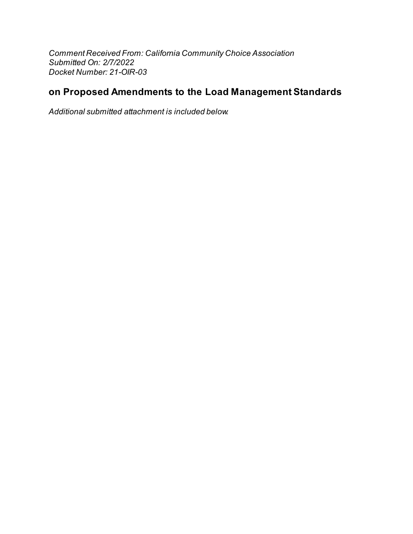Comment Received From: California Community Choice Association Submitted On: 2/7/2022 Docket Number: 21-OIR-03

# on Proposed Amendments to the Load Management Standards

Additional submitted attachment is included below.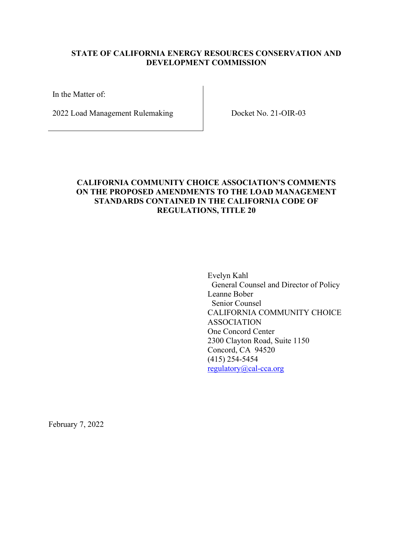#### **STATE OF CALIFORNIA ENERGY RESOURCES CONSERVATION AND DEVELOPMENT COMMISSION**

In the Matter of:

2022 Load Management Rulemaking Docket No. 21-OIR-03

## **CALIFORNIA COMMUNITY CHOICE ASSOCIATION'S COMMENTS ON THE PROPOSED AMENDMENTS TO THE LOAD MANAGEMENT STANDARDS CONTAINED IN THE CALIFORNIA CODE OF REGULATIONS, TITLE 20**

Evelyn Kahl General Counsel and Director of Policy Leanne Bober Senior Counsel CALIFORNIA COMMUNITY CHOICE ASSOCIATION One Concord Center 2300 Clayton Road, Suite 1150 Concord, CA 94520 (415) 254-5454 [regulatory@cal-cca.org](mailto:regulatory@cal-cca.org)

February 7, 2022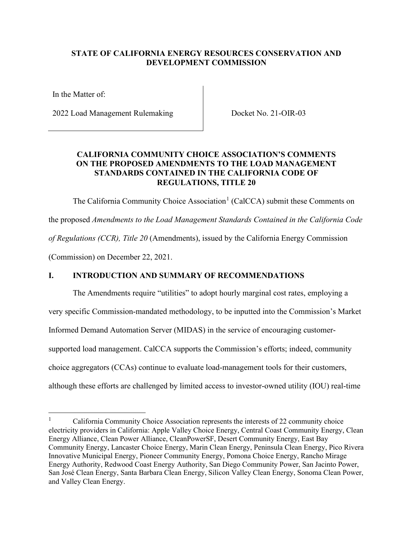### **STATE OF CALIFORNIA ENERGY RESOURCES CONSERVATION AND DEVELOPMENT COMMISSION**

In the Matter of:

2022 Load Management Rulemaking Docket No. 21-OIR-03

### **CALIFORNIA COMMUNITY CHOICE ASSOCIATION'S COMMENTS ON THE PROPOSED AMENDMENTS TO THE LOAD MANAGEMENT STANDARDS CONTAINED IN THE CALIFORNIA CODE OF REGULATIONS, TITLE 20**

The California Community Choice Association<sup>[1](#page-3-0)</sup> (CalCCA) submit these Comments on

the proposed *Amendments to the Load Management Standards Contained in the California Code of Regulations (CCR), Title 20* (Amendments), issued by the California Energy Commission

(Commission) on December 22, 2021.

## **I. INTRODUCTION AND SUMMARY OF RECOMMENDATIONS**

The Amendments require "utilities" to adopt hourly marginal cost rates, employing a very specific Commission-mandated methodology, to be inputted into the Commission's Market Informed Demand Automation Server (MIDAS) in the service of encouraging customersupported load management. CalCCA supports the Commission's efforts; indeed, community choice aggregators (CCAs) continue to evaluate load-management tools for their customers, although these efforts are challenged by limited access to investor-owned utility (IOU) real-time

<span id="page-3-0"></span><sup>1</sup> California Community Choice Association represents the interests of 22 community choice electricity providers in California: Apple Valley Choice Energy, Central Coast Community Energy, Clean Energy Alliance, Clean Power Alliance, CleanPowerSF, Desert Community Energy, East Bay Community Energy, Lancaster Choice Energy, Marin Clean Energy, Peninsula Clean Energy, Pico Rivera Innovative Municipal Energy, Pioneer Community Energy, Pomona Choice Energy, Rancho Mirage Energy Authority, Redwood Coast Energy Authority, San Diego Community Power, San Jacinto Power, San José Clean Energy, Santa Barbara Clean Energy, Silicon Valley Clean Energy, Sonoma Clean Power, and Valley Clean Energy.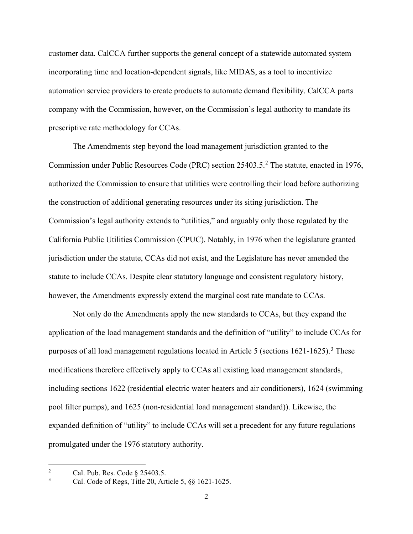customer data. CalCCA further supports the general concept of a statewide automated system incorporating time and location-dependent signals, like MIDAS, as a tool to incentivize automation service providers to create products to automate demand flexibility. CalCCA parts company with the Commission, however, on the Commission's legal authority to mandate its prescriptive rate methodology for CCAs.

The Amendments step beyond the load management jurisdiction granted to the Commission under Public Resources Code (PRC) section [2](#page-4-0)5403.5.<sup>2</sup> The statute, enacted in 1976, authorized the Commission to ensure that utilities were controlling their load before authorizing the construction of additional generating resources under its siting jurisdiction. The Commission's legal authority extends to "utilities," and arguably only those regulated by the California Public Utilities Commission (CPUC). Notably, in 1976 when the legislature granted jurisdiction under the statute, CCAs did not exist, and the Legislature has never amended the statute to include CCAs. Despite clear statutory language and consistent regulatory history, however, the Amendments expressly extend the marginal cost rate mandate to CCAs.

Not only do the Amendments apply the new standards to CCAs, but they expand the application of the load management standards and the definition of "utility" to include CCAs for purposes of all load management regulations located in Article 5 (sections  $1621-1625$ ).<sup>[3](#page-4-1)</sup> These modifications therefore effectively apply to CCAs all existing load management standards, including sections 1622 (residential electric water heaters and air conditioners), 1624 (swimming pool filter pumps), and 1625 (non-residential load management standard)). Likewise, the expanded definition of "utility" to include CCAs will set a precedent for any future regulations promulgated under the 1976 statutory authority.

<span id="page-4-0"></span><sup>2</sup> Cal. Pub. Res. Code § 25403.5.

<span id="page-4-1"></span><sup>3</sup> Cal. Code of Regs, Title 20, Article 5, §§ 1621-1625.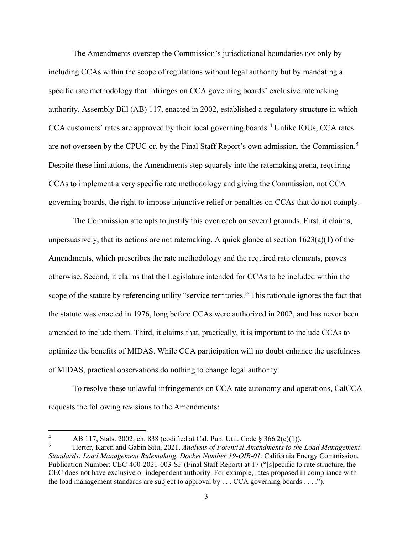The Amendments overstep the Commission's jurisdictional boundaries not only by including CCAs within the scope of regulations without legal authority but by mandating a specific rate methodology that infringes on CCA governing boards' exclusive ratemaking authority. Assembly Bill (AB) 117, enacted in 2002, established a regulatory structure in which CCA customers' rates are approved by their local governing boards.<sup>[4](#page-5-0)</sup> Unlike IOUs, CCA rates are not overseen by the CPUC or, by the Final Staff Report's own admission, the Commission.<sup>[5](#page-5-1)</sup> Despite these limitations, the Amendments step squarely into the ratemaking arena, requiring CCAs to implement a very specific rate methodology and giving the Commission, not CCA governing boards, the right to impose injunctive relief or penalties on CCAs that do not comply.

The Commission attempts to justify this overreach on several grounds. First, it claims, unpersuasively, that its actions are not ratemaking. A quick glance at section 1623(a)(1) of the Amendments, which prescribes the rate methodology and the required rate elements, proves otherwise. Second, it claims that the Legislature intended for CCAs to be included within the scope of the statute by referencing utility "service territories." This rationale ignores the fact that the statute was enacted in 1976, long before CCAs were authorized in 2002, and has never been amended to include them. Third, it claims that, practically, it is important to include CCAs to optimize the benefits of MIDAS. While CCA participation will no doubt enhance the usefulness of MIDAS, practical observations do nothing to change legal authority.

To resolve these unlawful infringements on CCA rate autonomy and operations, CalCCA requests the following revisions to the Amendments:

<span id="page-5-0"></span><sup>4</sup> AB 117, Stats. 2002; ch. 838 (codified at Cal. Pub. Util. Code § 366.2(c)(1)).

<span id="page-5-1"></span><sup>5</sup> Herter, Karen and Gabin Situ, 2021. *Analysis of Potential Amendments to the Load Management Standards: Load Management Rulemaking, Docket Number 19-OIR-01.* California Energy Commission. Publication Number: CEC-400-2021-003-SF (Final Staff Report) at 17 ("[s]pecific to rate structure, the CEC does not have exclusive or independent authority. For example, rates proposed in compliance with the load management standards are subject to approval by . . . CCA governing boards . . . .").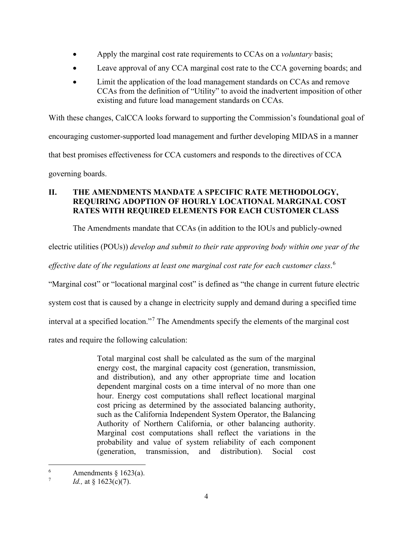- Apply the marginal cost rate requirements to CCAs on a *voluntary* basis;
- Leave approval of any CCA marginal cost rate to the CCA governing boards; and
- Limit the application of the load management standards on CCAs and remove CCAs from the definition of "Utility" to avoid the inadvertent imposition of other existing and future load management standards on CCAs.

With these changes, CalCCA looks forward to supporting the Commission's foundational goal of encouraging customer-supported load management and further developing MIDAS in a manner that best promises effectiveness for CCA customers and responds to the directives of CCA governing boards.

## **II. THE AMENDMENTS MANDATE A SPECIFIC RATE METHODOLOGY, REQUIRING ADOPTION OF HOURLY LOCATIONAL MARGINAL COST RATES WITH REQUIRED ELEMENTS FOR EACH CUSTOMER CLASS**

The Amendments mandate that CCAs (in addition to the IOUs and publicly-owned

electric utilities (POUs)) *develop and submit to their rate approving body within one year of the* 

*effective date of the regulations at least one marginal cost rate for each customer class*. [6](#page-6-0)

"Marginal cost" or "locational marginal cost" is defined as "the change in current future electric

system cost that is caused by a change in electricity supply and demand during a specified time

interval at a specified location."[7](#page-6-1) The Amendments specify the elements of the marginal cost

rates and require the following calculation:

Total marginal cost shall be calculated as the sum of the marginal energy cost, the marginal capacity cost (generation, transmission, and distribution), and any other appropriate time and location dependent marginal costs on a time interval of no more than one hour. Energy cost computations shall reflect locational marginal cost pricing as determined by the associated balancing authority, such as the California Independent System Operator, the Balancing Authority of Northern California, or other balancing authority. Marginal cost computations shall reflect the variations in the probability and value of system reliability of each component (generation, transmission, and distribution). Social cost

<span id="page-6-0"></span><sup>6</sup> Amendments  $\S$  1623(a).

<span id="page-6-1"></span><sup>7</sup> *Id.*, at § 1623(c)(7).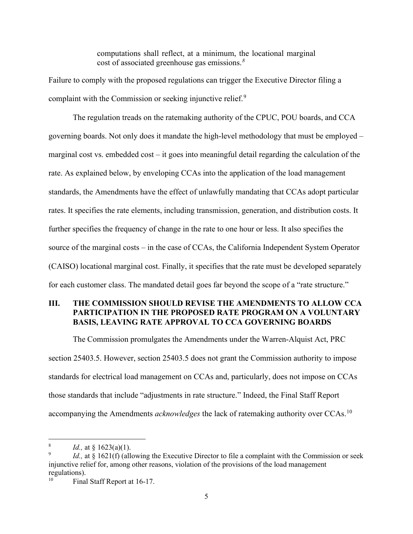computations shall reflect, at a minimum, the locational marginal cost of associated greenhouse gas emissions.*[8](#page-7-0)*

Failure to comply with the proposed regulations can trigger the Executive Director filing a complaint with the Commission or seeking injunctive relief.<sup>[9](#page-7-1)</sup>

The regulation treads on the ratemaking authority of the CPUC, POU boards, and CCA governing boards. Not only does it mandate the high-level methodology that must be employed – marginal cost vs. embedded cost – it goes into meaningful detail regarding the calculation of the rate. As explained below, by enveloping CCAs into the application of the load management standards, the Amendments have the effect of unlawfully mandating that CCAs adopt particular rates. It specifies the rate elements, including transmission, generation, and distribution costs. It further specifies the frequency of change in the rate to one hour or less. It also specifies the source of the marginal costs – in the case of CCAs, the California Independent System Operator (CAISO) locational marginal cost. Finally, it specifies that the rate must be developed separately for each customer class. The mandated detail goes far beyond the scope of a "rate structure."

## **III. THE COMMISSION SHOULD REVISE THE AMENDMENTS TO ALLOW CCA PARTICIPATION IN THE PROPOSED RATE PROGRAM ON A VOLUNTARY BASIS, LEAVING RATE APPROVAL TO CCA GOVERNING BOARDS**

The Commission promulgates the Amendments under the Warren-Alquist Act, PRC section 25403.5. However, section 25403.5 does not grant the Commission authority to impose standards for electrical load management on CCAs and, particularly, does not impose on CCAs those standards that include "adjustments in rate structure." Indeed, the Final Staff Report accompanying the Amendments *acknowledges* the lack of ratemaking authority over CCAs.[10](#page-7-2)

<span id="page-7-0"></span><sup>&</sup>lt;sup>8</sup> *Id.*, at  $\S$  1623(a)(1).

<span id="page-7-1"></span><sup>9</sup> *Id.*, at § 1621(f) (allowing the Executive Director to file a complaint with the Commission or seek injunctive relief for, among other reasons, violation of the provisions of the load management regulations).

<span id="page-7-2"></span><sup>&</sup>lt;sup>10</sup> Final Staff Report at 16-17.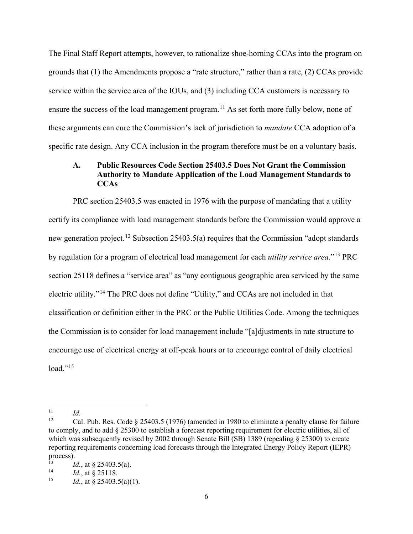The Final Staff Report attempts, however, to rationalize shoe-horning CCAs into the program on grounds that (1) the Amendments propose a "rate structure," rather than a rate, (2) CCAs provide service within the service area of the IOUs, and (3) including CCA customers is necessary to ensure the success of the load management program.<sup>11</sup> As set forth more fully below, none of these arguments can cure the Commission's lack of jurisdiction to *mandate* CCA adoption of a specific rate design. Any CCA inclusion in the program therefore must be on a voluntary basis.

#### **A. Public Resources Code Section 25403.5 Does Not Grant the Commission Authority to Mandate Application of the Load Management Standards to CCAs**

PRC section 25403.5 was enacted in 1976 with the purpose of mandating that a utility certify its compliance with load management standards before the Commission would approve a new generation project.<sup>12</sup> Subsection 25403.5(a) requires that the Commission "adopt standards by regulation for a program of electrical load management for each *utility service area*."[13](#page-8-2) PRC section 25118 defines a "service area" as "any contiguous geographic area serviced by the same electric utility."[14](#page-8-3) The PRC does not define "Utility," and CCAs are not included in that classification or definition either in the PRC or the Public Utilities Code. Among the techniques the Commission is to consider for load management include "[a]djustments in rate structure to encourage use of electrical energy at off-peak hours or to encourage control of daily electrical  $load.^{9,15}$ 

<span id="page-8-0"></span> $\frac{11}{12}$  *Id.* 

<span id="page-8-1"></span>Cal. Pub. Res. Code  $\S$  25403.5 (1976) (amended in 1980 to eliminate a penalty clause for failure to comply, and to add § 25300 to establish a forecast reporting requirement for electric utilities, all of which was subsequently revised by 2002 through Senate Bill (SB) 1389 (repealing  $\S 25300$ ) to create reporting requirements concerning load forecasts through the Integrated Energy Policy Report (IEPR) process).

<span id="page-8-2"></span><sup>&</sup>lt;sup>13</sup> *Id.*, at § 25403.5(a).<br><sup>14</sup> *Id.* at 8.25118

<span id="page-8-3"></span><sup>&</sup>lt;sup>14</sup> *Id.*, at § 25118.

<span id="page-8-4"></span>*Id.*, at § 25403.5(a)(1).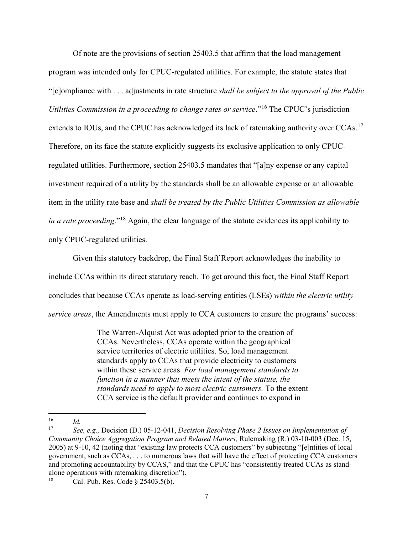Of note are the provisions of section 25403.5 that affirm that the load management program was intended only for CPUC-regulated utilities. For example, the statute states that "[c]ompliance with . . . adjustments in rate structure *shall be subject to the approval of the Public Utilities Commission in a proceeding to change rates or service*."[16](#page-9-0) The CPUC's jurisdiction extends to IOUs, and the CPUC has acknowledged its lack of ratemaking authority over CCAs.<sup>[17](#page-9-1)</sup> Therefore, on its face the statute explicitly suggests its exclusive application to only CPUCregulated utilities. Furthermore, section 25403.5 mandates that "[a]ny expense or any capital investment required of a utility by the standards shall be an allowable expense or an allowable item in the utility rate base and *shall be treated by the Public Utilities Commission as allowable in a rate proceeding*."[18](#page-9-2) Again, the clear language of the statute evidences its applicability to only CPUC-regulated utilities.

Given this statutory backdrop, the Final Staff Report acknowledges the inability to include CCAs within its direct statutory reach. To get around this fact, the Final Staff Report concludes that because CCAs operate as load-serving entities (LSEs) *within the electric utility service areas*, the Amendments must apply to CCA customers to ensure the programs' success:

> The Warren-Alquist Act was adopted prior to the creation of CCAs. Nevertheless, CCAs operate within the geographical service territories of electric utilities. So, load management standards apply to CCAs that provide electricity to customers within these service areas. *For load management standards to function in a manner that meets the intent of the statute, the standards need to apply to most electric customers.* To the extent CCA service is the default provider and continues to expand in

<span id="page-9-0"></span> $\frac{16}{17}$  *Id.* **C**<sub>20</sub>

<span id="page-9-1"></span><sup>17</sup> *See, e.g.,* Decision (D.) 05-12-041, *Decision Resolving Phase 2 Issues on Implementation of Community Choice Aggregation Program and Related Matters,* Rulemaking (R.) 03-10-003 (Dec. 15, 2005) at 9-10, 42 (noting that "existing law protects CCA customers" by subjecting "[e]ntities of local government, such as CCAs, . . . to numerous laws that will have the effect of protecting CCA customers and promoting accountability by CCAS," and that the CPUC has "consistently treated CCAs as standalone operations with ratemaking discretion").

<span id="page-9-2"></span><sup>&</sup>lt;sup>18</sup> Cal. Pub. Res. Code  $\S 25403.5(b)$ .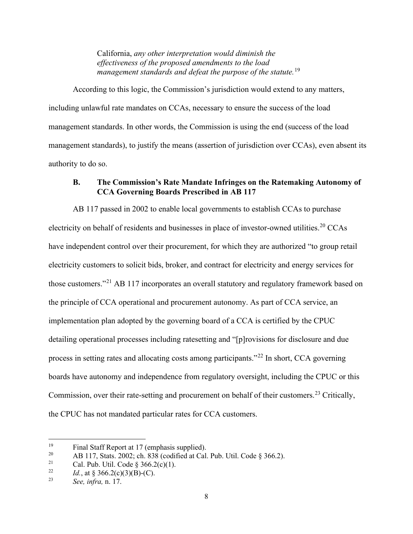California, *any other interpretation would diminish the effectiveness of the proposed amendments to the load management standards and defeat the purpose of the statute.*[19](#page-10-0)

According to this logic, the Commission's jurisdiction would extend to any matters, including unlawful rate mandates on CCAs, necessary to ensure the success of the load management standards. In other words, the Commission is using the end (success of the load management standards), to justify the means (assertion of jurisdiction over CCAs), even absent its authority to do so.

#### **B. The Commission's Rate Mandate Infringes on the Ratemaking Autonomy of CCA Governing Boards Prescribed in AB 117**

AB 117 passed in 2002 to enable local governments to establish CCAs to purchase electricity on behalf of residents and businesses in place of investor-owned utilities.<sup>[20](#page-10-1)</sup> CCAs have independent control over their procurement, for which they are authorized "to group retail electricity customers to solicit bids, broker, and contract for electricity and energy services for those customers."[21](#page-10-2) AB 117 incorporates an overall statutory and regulatory framework based on the principle of CCA operational and procurement autonomy. As part of CCA service, an implementation plan adopted by the governing board of a CCA is certified by the CPUC detailing operational processes including ratesetting and "[p]rovisions for disclosure and due process in setting rates and allocating costs among participants."[22](#page-10-3) In short, CCA governing boards have autonomy and independence from regulatory oversight, including the CPUC or this Commission, over their rate-setting and procurement on behalf of their customers.<sup>[23](#page-10-4)</sup> Critically, the CPUC has not mandated particular rates for CCA customers.

<span id="page-10-0"></span><sup>&</sup>lt;sup>19</sup> Final Staff Report at 17 (emphasis supplied).<br><sup>20</sup> AB 117 State 2002; ch 838 (codified at Cal

<span id="page-10-1"></span><sup>&</sup>lt;sup>20</sup> AB 117, Stats. 2002; ch. 838 (codified at Cal. Pub. Util. Code § 366.2).<br><sup>21</sup> Cal. Pub. Util. Code § 366.2(c)(1)

<span id="page-10-2"></span><sup>&</sup>lt;sup>21</sup> Cal. Pub. Util. Code § 366.2(c)(1).<br><sup>22</sup> *Id.* at § 366.2(a)(3)(B)(C)

<span id="page-10-3"></span><sup>&</sup>lt;sup>22</sup> *Id.*, at § 366.2(c)(3)(B)-(C).<br><sup>23</sup> See infra p. 17.

<span id="page-10-4"></span><sup>23</sup> *See, infra,* n. 17.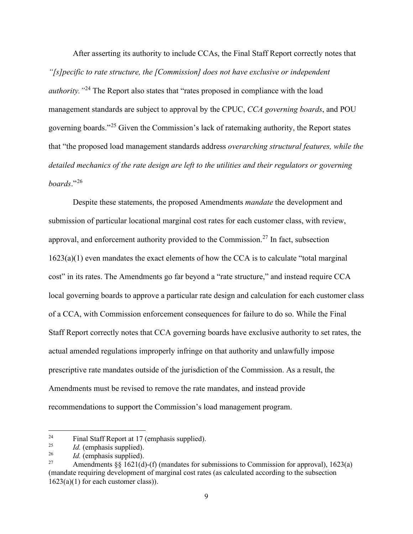After asserting its authority to include CCAs, the Final Staff Report correctly notes that *"[s]pecific to rate structure, the [Commission] does not have exclusive or independent authority.* "<sup>[24](#page-11-0)</sup> The Report also states that "rates proposed in compliance with the load management standards are subject to approval by the CPUC, *CCA governing boards*, and POU governing boards."[25](#page-11-1) Given the Commission's lack of ratemaking authority, the Report states that "the proposed load management standards address *overarching structural features, while the detailed mechanics of the rate design are left to the utilities and their regulators or governing boards*."[26](#page-11-2)

Despite these statements, the proposed Amendments *mandate* the development and submission of particular locational marginal cost rates for each customer class, with review, approval, and enforcement authority provided to the Commission.<sup>27</sup> In fact, subsection 1623(a)(1) even mandates the exact elements of how the CCA is to calculate "total marginal cost" in its rates. The Amendments go far beyond a "rate structure," and instead require CCA local governing boards to approve a particular rate design and calculation for each customer class of a CCA, with Commission enforcement consequences for failure to do so. While the Final Staff Report correctly notes that CCA governing boards have exclusive authority to set rates, the actual amended regulations improperly infringe on that authority and unlawfully impose prescriptive rate mandates outside of the jurisdiction of the Commission. As a result, the Amendments must be revised to remove the rate mandates, and instead provide recommendations to support the Commission's load management program.

<span id="page-11-0"></span><sup>&</sup>lt;sup>24</sup> Final Staff Report at 17 (emphasis supplied).<br>
<sup>25</sup> *Id.* (emphasis supplied)

<span id="page-11-1"></span> $\frac{25}{26}$  *Id.* (emphasis supplied).

<span id="page-11-2"></span> $\frac{26}{27}$  *Id.* (emphasis supplied).

<span id="page-11-3"></span>Amendments  $\S\S 1621(d)$ -(f) (mandates for submissions to Commission for approval), 1623(a) (mandate requiring development of marginal cost rates (as calculated according to the subsection  $1623(a)(1)$  for each customer class)).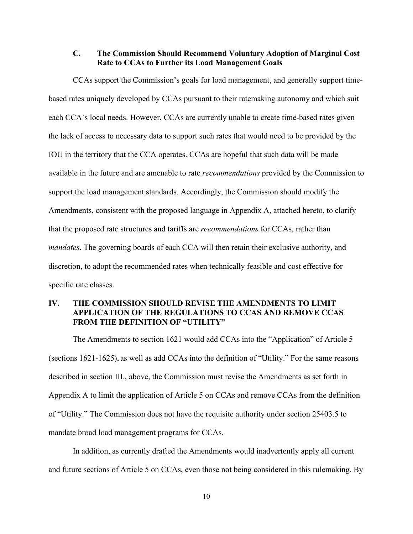#### **C. The Commission Should Recommend Voluntary Adoption of Marginal Cost Rate to CCAs to Further its Load Management Goals**

CCAs support the Commission's goals for load management, and generally support timebased rates uniquely developed by CCAs pursuant to their ratemaking autonomy and which suit each CCA's local needs. However, CCAs are currently unable to create time-based rates given the lack of access to necessary data to support such rates that would need to be provided by the IOU in the territory that the CCA operates. CCAs are hopeful that such data will be made available in the future and are amenable to rate *recommendations* provided by the Commission to support the load management standards. Accordingly, the Commission should modify the Amendments, consistent with the proposed language in Appendix A, attached hereto, to clarify that the proposed rate structures and tariffs are *recommendations* for CCAs, rather than *mandates*. The governing boards of each CCA will then retain their exclusive authority, and discretion, to adopt the recommended rates when technically feasible and cost effective for specific rate classes.

### **IV. THE COMMISSION SHOULD REVISE THE AMENDMENTS TO LIMIT APPLICATION OF THE REGULATIONS TO CCAS AND REMOVE CCAS FROM THE DEFINITION OF "UTILITY"**

The Amendments to section 1621 would add CCAs into the "Application" of Article 5 (sections 1621-1625), as well as add CCAs into the definition of "Utility." For the same reasons described in section III., above, the Commission must revise the Amendments as set forth in Appendix A to limit the application of Article 5 on CCAs and remove CCAs from the definition of "Utility." The Commission does not have the requisite authority under section 25403.5 to mandate broad load management programs for CCAs.

In addition, as currently drafted the Amendments would inadvertently apply all current and future sections of Article 5 on CCAs, even those not being considered in this rulemaking. By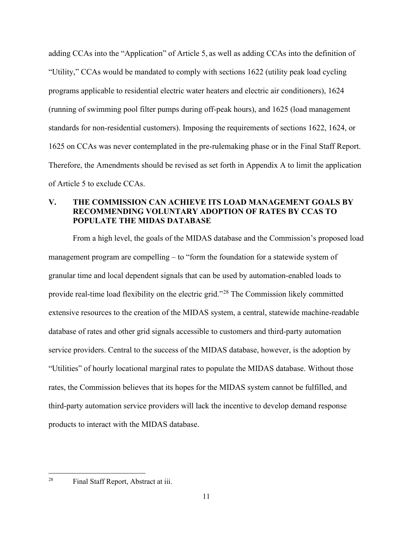adding CCAs into the "Application" of Article 5, as well as adding CCAs into the definition of "Utility," CCAs would be mandated to comply with sections 1622 (utility peak load cycling programs applicable to residential electric water heaters and electric air conditioners), 1624 (running of swimming pool filter pumps during off-peak hours), and 1625 (load management standards for non-residential customers). Imposing the requirements of sections 1622, 1624, or 1625 on CCAs was never contemplated in the pre-rulemaking phase or in the Final Staff Report. Therefore, the Amendments should be revised as set forth in Appendix A to limit the application of Article 5 to exclude CCAs.

### **V. THE COMMISSION CAN ACHIEVE ITS LOAD MANAGEMENT GOALS BY RECOMMENDING VOLUNTARY ADOPTION OF RATES BY CCAS TO POPULATE THE MIDAS DATABASE**

From a high level, the goals of the MIDAS database and the Commission's proposed load management program are compelling – to "form the foundation for a statewide system of granular time and local dependent signals that can be used by automation-enabled loads to provide real-time load flexibility on the electric grid."[28](#page-13-0) The Commission likely committed extensive resources to the creation of the MIDAS system, a central, statewide machine-readable database of rates and other grid signals accessible to customers and third-party automation service providers. Central to the success of the MIDAS database, however, is the adoption by "Utilities" of hourly locational marginal rates to populate the MIDAS database. Without those rates, the Commission believes that its hopes for the MIDAS system cannot be fulfilled, and third-party automation service providers will lack the incentive to develop demand response products to interact with the MIDAS database.

<span id="page-13-0"></span><sup>28</sup> Final Staff Report, Abstract at iii.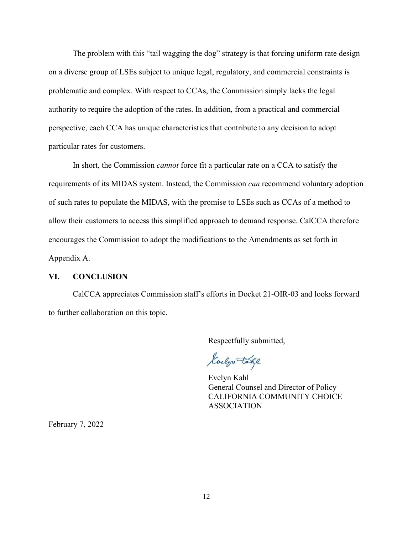The problem with this "tail wagging the dog" strategy is that forcing uniform rate design on a diverse group of LSEs subject to unique legal, regulatory, and commercial constraints is problematic and complex. With respect to CCAs, the Commission simply lacks the legal authority to require the adoption of the rates. In addition, from a practical and commercial perspective, each CCA has unique characteristics that contribute to any decision to adopt particular rates for customers.

In short, the Commission *cannot* force fit a particular rate on a CCA to satisfy the requirements of its MIDAS system. Instead, the Commission *can* recommend voluntary adoption of such rates to populate the MIDAS, with the promise to LSEs such as CCAs of a method to allow their customers to access this simplified approach to demand response. CalCCA therefore encourages the Commission to adopt the modifications to the Amendments as set forth in Appendix A.

#### **VI. CONCLUSION**

CalCCA appreciates Commission staff's efforts in Docket 21-OIR-03 and looks forward to further collaboration on this topic.

Respectfully submitted,

Guelyn Take

Evelyn Kahl General Counsel and Director of Policy CALIFORNIA COMMUNITY CHOICE ASSOCIATION

February 7, 2022